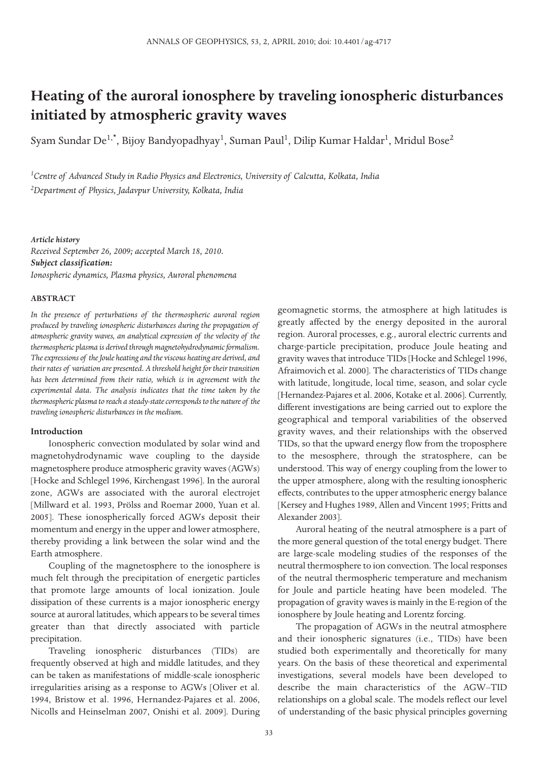# **Heating of the auroral ionosphere by traveling ionospheric disturbances initiated by atmospheric gravity waves**

Syam Sundar De $^{1,\star}$ , Bijoy Bandyopadhyay $^1$ , Suman Paul $^1$ , Dilip Kumar Haldar $^1$ , Mridul Bose $^2$ 

*<sup>1</sup>Centre of Advanced Study in Radio Physics and Electronics, University of Calcutta, Kolkata, India <sup>2</sup>Department of Physics, Jadavpur University, Kolkata, India*

#### *Article history*

*Received September 26, 2009; accepted March 18, 2010. Subject classification: Ionospheric dynamics, Plasma physics, Auroral phenomena*

### **ABSTRACT**

*In the presence of perturbations of the thermospheric auroral region produced by traveling ionospheric disturbances during the propagation of atmospheric gravity waves, an analytical expression of the velocity of the thermospheric plasma is derived through magnetohydrodynamic formalism. The expressions of the Joule heating and the viscous heating are derived, and their rates of variation are presented. A threshold height for their transition has been determined from their ratio, which is in agreement with the experimental data. The analysis indicates that the time taken by the thermospheric plasma to reach a steady-state corresponds to the nature of the traveling ionospheric disturbances in the medium.*

## **Introduction**

Ionospheric convection modulated by solar wind and magnetohydrodynamic wave coupling to the dayside magnetosphere produce atmospheric gravity waves (AGWs) [Hocke and Schlegel 1996, Kirchengast 1996]. In the auroral zone, AGWs are associated with the auroral electrojet [Millward et al. 1993, Prölss and Roemar 2000, Yuan et al. 2005]. These ionospherically forced AGWs deposit their momentum and energy in the upper and lower atmosphere, thereby providing a link between the solar wind and the Earth atmosphere.

Coupling of the magnetosphere to the ionosphere is much felt through the precipitation of energetic particles that promote large amounts of local ionization. Joule dissipation of these currents is a major ionospheric energy source at auroral latitudes, which appears to be several times greater than that directly associated with particle precipitation.

Traveling ionospheric disturbances (TIDs) are frequently observed at high and middle latitudes, and they can be taken as manifestations of middle-scale ionospheric irregularities arising as a response to AGWs [Oliver et al. 1994, Bristow et al. 1996, Hernandez-Pajares et al. 2006, Nicolls and Heinselman 2007, Onishi et al. 2009]. During

geomagnetic storms, the atmosphere at high latitudes is greatly affected by the energy deposited in the auroral region. Auroral processes, e.g., auroral electric currents and charge-particle precipitation, produce Joule heating and gravity waves that introduce TIDs [Hocke and Schlegel 1996, Afraimovich et al. 2000]. The characteristics of TIDs change with latitude, longitude, local time, season, and solar cycle [Hernandez-Pajares et al. 2006, Kotake et al. 2006]. Currently, different investigations are being carried out to explore the geographical and temporal variabilities of the observed gravity waves, and their relationships with the observed TIDs, so that the upward energy flow from the troposphere to the mesosphere, through the stratosphere, can be understood. This way of energy coupling from the lower to the upper atmosphere, along with the resulting ionospheric effects, contributes to the upper atmospheric energy balance [Kersey and Hughes 1989, Allen and Vincent 1995; Fritts and Alexander 2003].

Auroral heating of the neutral atmosphere is a part of the more general question of the total energy budget. There are large-scale modeling studies of the responses of the neutral thermosphere to ion convection. The local responses of the neutral thermospheric temperature and mechanism for Joule and particle heating have been modeled. The propagation of gravity waves is mainly in the E-region of the ionosphere by Joule heating and Lorentz forcing.

The propagation of AGWs in the neutral atmosphere and their ionospheric signatures (i.e., TIDs) have been studied both experimentally and theoretically for many years. On the basis of these theoretical and experimental investigations, several models have been developed to describe the main characteristics of the AGW–TID relationships on a global scale. The models reflect our level of understanding of the basic physical principles governing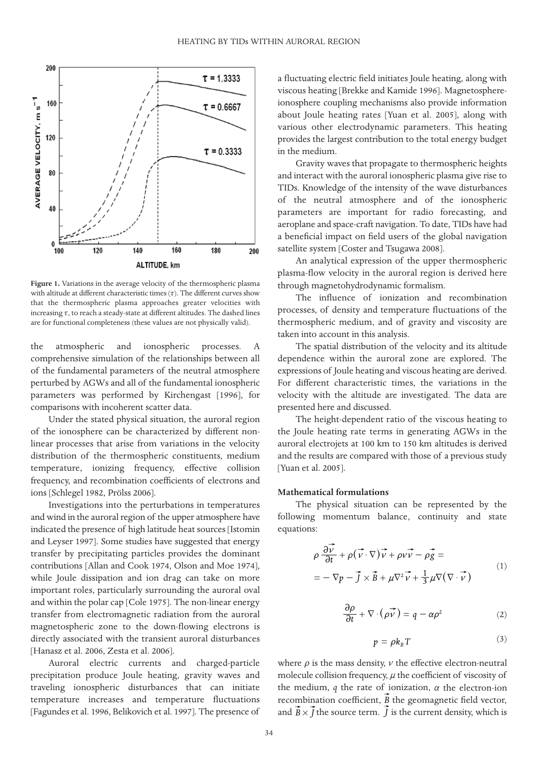

**Figure 1.** Variations in the average velocity of the thermospheric plasma with altitude at different characteristic times  $(\tau)$ . The different curves show that the thermospheric plasma approaches greater velocities with increasing  $\tau$ , to reach a steady-state at different altitudes. The dashed lines are for functional completeness (these values are not physically valid).

the atmospheric and ionospheric processes. A comprehensive simulation of the relationships between all of the fundamental parameters of the neutral atmosphere perturbed by AGWs and all of the fundamental ionospheric parameters was performed by Kirchengast [1996], for comparisons with incoherent scatter data.

Under the stated physical situation, the auroral region of the ionosphere can be characterized by different nonlinear processes that arise from variations in the velocity distribution of the thermospheric constituents, medium temperature, ionizing frequency, effective collision frequency, and recombination coefficients of electrons and ions [Schlegel 1982, Prölss 2006].

Investigations into the perturbations in temperatures and wind in the auroral region of the upper atmosphere have indicated the presence of high latitude heat sources [Istomin and Leyser 1997]. Some studies have suggested that energy transfer by precipitating particles provides the dominant contributions [Allan and Cook 1974, Olson and Moe 1974], while Joule dissipation and ion drag can take on more important roles, particularly surrounding the auroral oval and within the polar cap [Cole 1975]. The non-linear energy transfer from electromagnetic radiation from the auroral magnetospheric zone to the down-flowing electrons is directly associated with the transient auroral disturbances [Hanasz et al. 2006, Zesta et al. 2006].

Auroral electric currents and charged-particle precipitation produce Joule heating, gravity waves and traveling ionospheric disturbances that can initiate temperature increases and temperature fluctuations [Fagundes et al. 1996, Belikovich et al. 1997]. The presence of

a fluctuating electric field initiates Joule heating, along with viscous heating [Brekke and Kamide 1996]. Magnetosphereionosphere coupling mechanisms also provide information about Joule heating rates [Yuan et al. 2005], along with various other electrodynamic parameters. This heating provides the largest contribution to the total energy budget in the medium.

Gravity waves that propagate to thermospheric heights and interact with the auroral ionospheric plasma give rise to TIDs. Knowledge of the intensity of the wave disturbances of the neutral atmosphere and of the ionospheric parameters are important for radio forecasting, and aeroplane and space-craft navigation. To date, TIDs have had a beneficial impact on field users of the global navigation satellite system [Coster and Tsugawa 2008].

An analytical expression of the upper thermospheric plasma-flow velocity in the auroral region is derived here through magnetohydrodynamic formalism.

The influence of ionization and recombination processes, of density and temperature fluctuations of the thermospheric medium, and of gravity and viscosity are taken into account in this analysis.

The spatial distribution of the velocity and its altitude dependence within the auroral zone are explored. The expressions of Joule heating and viscous heating are derived. For different characteristic times, the variations in the velocity with the altitude are investigated. The data are presented here and discussed.

The height-dependent ratio of the viscous heating to the Joule heating rate terms in generating AGWs in the auroral electrojets at 100 km to 150 km altitudes is derived and the results are compared with those of a previous study [Yuan et al. 2005].

## **Mathematical formulations**

The physical situation can be represented by the following momentum balance, continuity and state equations:

$$
\rho \frac{\partial \vec{v}}{\partial t} + \rho (\vec{v} \cdot \nabla) \vec{v} + \rho \vec{v} - \rho \vec{g} =
$$
  
=  $-\nabla p - \vec{J} \times \vec{B} + \mu \nabla^2 \vec{v} + \frac{1}{3} \mu \nabla (\nabla \cdot \vec{v})$  (1)

$$
\frac{\partial \rho}{\partial t} + \nabla \cdot (\vec{\rho \nu}) = q - \alpha \rho^2 \tag{2}
$$

$$
p = \rho k_B T \tag{3}
$$

where  $\rho$  is the mass density,  $\nu$  the effective electron-neutral molecule collision frequency,  $\mu$  the coefficient of viscosity of the medium,  $q$  the rate of ionization,  $\alpha$  the electron-ion recombination coefficient, *B* the geomagnetic field vector, and  $\hat{B} \times \hat{J}$  the source term.  $J$  is the current density, which is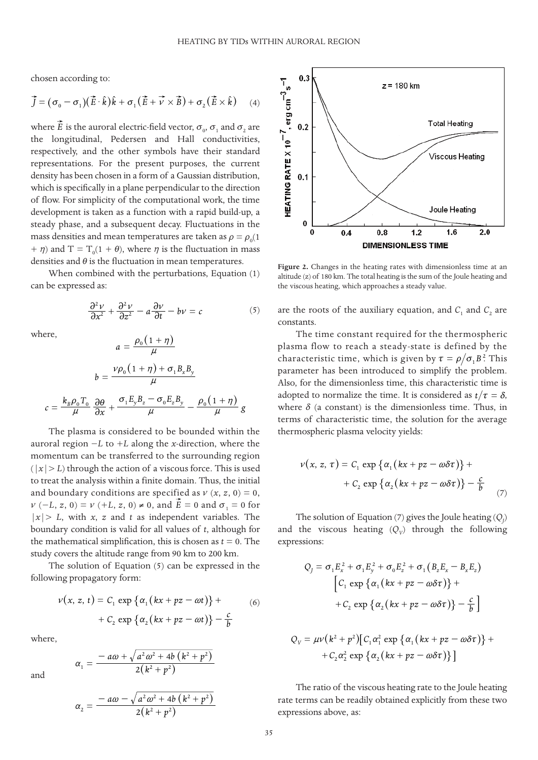chosen according to:

$$
\vec{J} = (\sigma_0 - \sigma_1)(\vec{E} \cdot \hat{k})\hat{k} + \sigma_1(\vec{E} + \vec{v} \times \vec{B}) + \sigma_2(\vec{E} \times \hat{k}) \quad (4)
$$

where *E* is the auroral electric-field vector,  $\sigma_{\scriptscriptstyle 0}$ ,  $\sigma_{\scriptscriptstyle 1}$  and  $\sigma_{\scriptscriptstyle 2}$  are the longitudinal, Pedersen and Hall conductivities, respectively, and the other symbols have their standard representations. For the present purposes, the current density has been chosen in a form of a Gaussian distribution, which is specifically in a plane perpendicular to the direction of flow. For simplicity of the computational work, the time development is taken as a function with a rapid build-up, a steady phase, and a subsequent decay. Fluctuations in the mass densities and mean temperatures are taken as  $\rho = \rho_{\scriptscriptstyle 0}(1)$  $+ \eta$ ) and T = T<sub>0</sub>(1 +  $\theta$ ), where  $\eta$  is the fluctuation in mass densities and  $\theta$  is the fluctuation in mean temperatures.

When combined with the perturbations, Equation (1) can be expressed as:

$$
\frac{\partial^2 v}{\partial x^2} + \frac{\partial^2 v}{\partial z^2} - a \frac{\partial v}{\partial t} - b v = c \tag{5}
$$

where,

$$
a = \frac{\rho_0 (1 + \eta)}{\mu}
$$

$$
b = \frac{\nu \rho_0 (1 + \eta) + \sigma_1 B_x B_y}{\mu}
$$

$$
c = \frac{k_B \rho_0 T_0}{\mu} \frac{\partial \theta}{\partial x} + \frac{\sigma_1 E_y B_z - \sigma_0 E_z B_y}{\mu} - \frac{\rho_0 (1 + \eta)}{\mu} g
$$

The plasma is considered to be bounded within the auroral region −*L* to +*L* along the *x*-direction, where the momentum can be transferred to the surrounding region  $(|x|> L)$  through the action of a viscous force. This is used to treat the analysis within a finite domain. Thus, the initial and boundary conditions are specified as  $\nu$   $(x, z, 0) = 0$ ,  $\nu$  (-*L*, *z*, 0) =  $\nu$  (+*L*, *z*, 0) ≠ 0, and *E* = 0 and  $\sigma_1$  = 0 for  $|x| > L$ , with *x*, *z* and *t* as independent variables. The boundary condition is valid for all values of *t*, although for the mathematical simplification, this is chosen as  $t = 0$ . The study covers the altitude range from 90 km to 200 km.

The solution of Equation (5) can be expressed in the following propagatory form:

$$
\nu(x, z, t) = C_1 \exp \{ \alpha_1 (kx + pz - \omega t) \} +
$$
  
+ C<sub>2</sub> exp { $\alpha_2 (kx + pz - \omega t)$ } -  $\frac{c}{b}$  (6)

 $\cdot$ 

where,

and

*a*

$$
\alpha_1 = \frac{-a\omega + \sqrt{a^2\omega^2 + 4b\left(k^2 + p^2\right)}}{2\left(k^2 + p^2\right)}
$$

$$
t_{2} = \frac{-a\omega - \sqrt{a^{2}\omega^{2} + 4b(k^{2} + p^{2})}}{2(k^{2} + p^{2})}
$$



**Figure 2.** Changes in the heating rates with dimensionless time at an altitude (z) of 180 km. The total heating is the sum of the Joule heating and the viscous heating, which approaches a steady value.

are the roots of the auxiliary equation, and  $C_1$  and  $C_2$  are constants.

The time constant required for the thermospheric plasma flow to reach a steady-state is defined by the characteristic time, which is given by  $\tau = \rho / \sigma_1 B^2$ . This parameter has been introduced to simplify the problem. Also, for the dimensionless time, this characteristic time is adopted to normalize the time. It is considered as  $t/\tau = \delta$ , where  $\delta$  (a constant) is the dimensionless time. Thus, in terms of characteristic time, the solution for the average thermospheric plasma velocity yields:

$$
v(x, z, \tau) = C_1 \exp \{ \alpha_1 (kx + pz - \omega \delta \tau) \} + C_2 \exp \{ \alpha_2 (kx + pz - \omega \delta \tau) \} - \frac{c}{b}
$$
 (7)

The solution of Equation (7) gives the Joule heating (*Q<sup>J</sup>* ) and the viscous heating  $(Q_v)$  through the following expressions:

$$
Q_j = \sigma_1 E_x^2 + \sigma_1 E_y^2 + \sigma_0 E_z^2 + \sigma_1 (B_z E_x - B_x E_z)
$$
  
\n
$$
\left[ C_1 \exp \{ \alpha_1 (kx + pz - \omega \delta \tau) \} + C_2 \exp \{ \alpha_2 (kx + pz - \omega \delta \tau) \} - \frac{c}{b} \right]
$$

$$
Q_V = \mu V (k^2 + p^2) [C_1 \alpha_1^2 \exp \{ \alpha_1 (kx + pz - \omega \delta \tau) \} + C_2 \alpha_2^2 \exp \{ \alpha_2 (kx + pz - \omega \delta \tau) \} ]
$$

The ratio of the viscous heating rate to the Joule heating rate terms can be readily obtained explicitly from these two expressions above, as: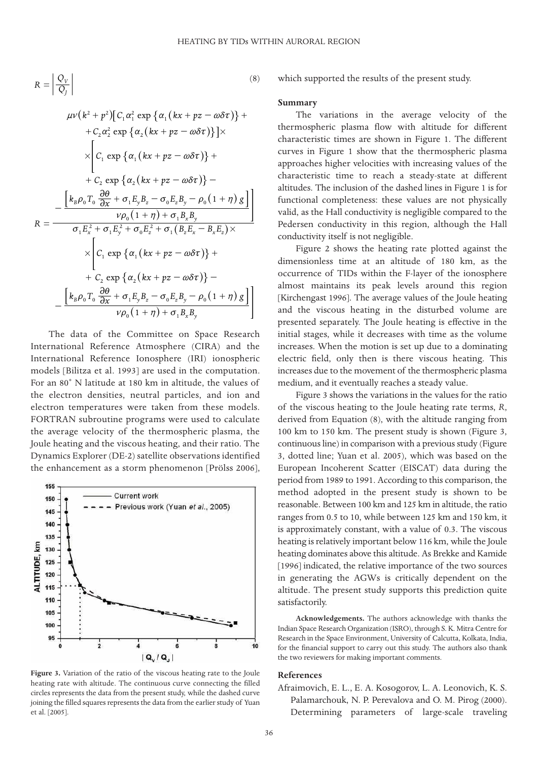(8)

$$
R = \left| \frac{Q_V}{Q_J} \right|
$$

$$
\mu\nu(k^2 + p^2) [C_1 \alpha_1^2 \exp \{\alpha_1 (kx + pz - \omega \delta \tau)\} + C_2 \alpha_2^2 \exp \{\alpha_2 (kx + pz - \omega \delta \tau)\} ] \times
$$
  
\n
$$
\times \left[C_1 \exp \{\alpha_1 (kx + pz - \omega \delta \tau)\} + C_2 \exp \{\alpha_2 (kx + pz - \omega \delta \tau)\} - C_2 \exp \{\alpha_2 (kx + pz - \omega \delta \tau)\} - C_2 \exp \{\alpha_2 (kx + pz - \omega \delta \tau)\} - C_2 \frac{\nu \rho_0 (1 + \eta) + \sigma_1 B_z B_y}{\nu \rho_0 (1 + \eta) + \sigma_1 B_z B_y} \times C_1 \frac{\sigma_1 E_z^2 + \sigma_1 E_y^2 + \sigma_0 E_z^2 + \sigma_1 (B_z E_x - B_x E_z) \times}{\left[C_1 \exp \{\alpha_1 (kx + pz - \omega \delta \tau)\} + C_2 \exp \{\alpha_2 (kx + pz - \omega \delta \tau)\} - C_2 \frac{\partial \theta}{\partial x} + \sigma_1 E_y B_z - \sigma_0 E_z B_y - \rho_0 (1 + \eta) g\}\right] \frac{\partial \theta}{\partial y} \frac{\partial \theta}{\partial y} + \sigma_1 E_y B_z - \sigma_0 E_z B_y - \rho_0 (1 + \eta) g\right]}
$$

The data of the Committee on Space Research International Reference Atmosphere (CIRA) and the International Reference Ionosphere (IRI) ionospheric models [Bilitza et al. 1993] are used in the computation. For an 80˚ N latitude at 180 km in altitude, the values of the electron densities, neutral particles, and ion and electron temperatures were taken from these models. FORTRAN subroutine programs were used to calculate the average velocity of the thermospheric plasma, the Joule heating and the viscous heating, and their ratio. The Dynamics Explorer (DE-2) satellite observations identified the enhancement as a storm phenomenon [Prölss 2006],



**Figure 3.** Variation of the ratio of the viscous heating rate to the Joule heating rate with altitude. The continuous curve connecting the filled circles represents the data from the present study, while the dashed curve joining the filled squares represents the data from the earlier study of Yuan et al. [2005].

which supported the results of the present study.

## **Summary**

The variations in the average velocity of the thermospheric plasma flow with altitude for different characteristic times are shown in Figure 1. The different curves in Figure 1 show that the thermospheric plasma approaches higher velocities with increasing values of the characteristic time to reach a steady-state at different altitudes. The inclusion of the dashed lines in Figure 1 is for functional completeness: these values are not physically valid, as the Hall conductivity is negligible compared to the Pedersen conductivity in this region, although the Hall conductivity itself is not negligible.

Figure 2 shows the heating rate plotted against the dimensionless time at an altitude of 180 km, as the occurrence of TIDs within the F-layer of the ionosphere almost maintains its peak levels around this region [Kirchengast 1996]. The average values of the Joule heating and the viscous heating in the disturbed volume are presented separately. The Joule heating is effective in the initial stages, while it decreases with time as the volume increases. When the motion is set up due to a dominating electric field, only then is there viscous heating. This increases due to the movement of the thermospheric plasma medium, and it eventually reaches a steady value.

Figure 3 shows the variations in the values for the ratio of the viscous heating to the Joule heating rate terms, *R*, derived from Equation (8), with the altitude ranging from 100 km to 150 km. The present study is shown (Figure 3, continuous line) in comparison with a previous study (Figure 3, dotted line; Yuan et al. 2005), which was based on the European Incoherent Scatter (EISCAT) data during the period from 1989 to 1991. According to this comparison, the method adopted in the present study is shown to be reasonable. Between 100 km and 125 km in altitude, the ratio ranges from 0.5 to 10, while between 125 km and 150 km, it is approximately constant, with a value of 0.3. The viscous heating is relatively important below 116 km, while the Joule heating dominates above this altitude. As Brekke and Kamide [1996] indicated, the relative importance of the two sources in generating the AGWs is critically dependent on the altitude. The present study supports this prediction quite satisfactorily.

**Acknowledgements.** The authors acknowledge with thanks the Indian Space Research Organization (ISRO), through S. K. Mitra Centre for Research in the Space Environment, University of Calcutta, Kolkata, India, for the financial support to carry out this study. The authors also thank the two reviewers for making important comments.

#### **References**

Afraimovich, E. L., E. A. Kosogorov, L. A. Leonovich, K. S. Palamarchouk, N. P. Perevalova and O. M. Pirog (2000). Determining parameters of large-scale traveling